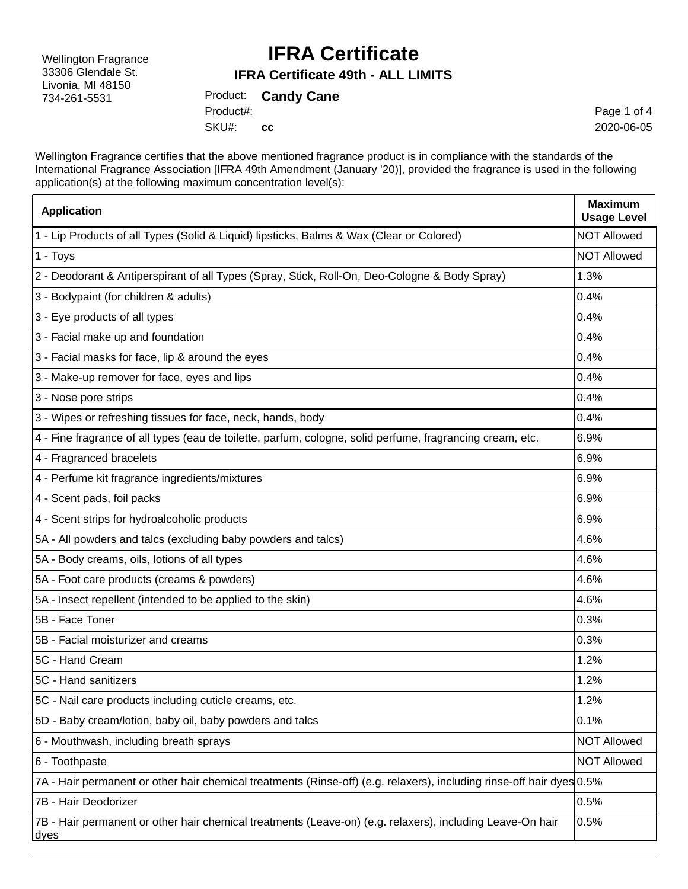Wellington Fragrance 33306 Glendale St. Livonia, MI 48150 734-261-5531

### **IFRA Certificate**

#### **IFRA Certificate 49th - ALL LIMITS**

Product: **Candy Cane** SKU#: Product#: **cc**

Page 1 of 4 2020-06-05

Wellington Fragrance certifies that the above mentioned fragrance product is in compliance with the standards of the International Fragrance Association [IFRA 49th Amendment (January '20)], provided the fragrance is used in the following application(s) at the following maximum concentration level(s):

| <b>Application</b>                                                                                                    | <b>Maximum</b><br><b>Usage Level</b> |
|-----------------------------------------------------------------------------------------------------------------------|--------------------------------------|
| 1 - Lip Products of all Types (Solid & Liquid) lipsticks, Balms & Wax (Clear or Colored)                              | <b>NOT Allowed</b>                   |
| 1 - Toys                                                                                                              | <b>NOT Allowed</b>                   |
| 2 - Deodorant & Antiperspirant of all Types (Spray, Stick, Roll-On, Deo-Cologne & Body Spray)                         | 1.3%                                 |
| 3 - Bodypaint (for children & adults)                                                                                 | 0.4%                                 |
| 3 - Eye products of all types                                                                                         | 0.4%                                 |
| 3 - Facial make up and foundation                                                                                     | 0.4%                                 |
| 3 - Facial masks for face, lip & around the eyes                                                                      | 0.4%                                 |
| 3 - Make-up remover for face, eyes and lips                                                                           | 0.4%                                 |
| 3 - Nose pore strips                                                                                                  | 0.4%                                 |
| 3 - Wipes or refreshing tissues for face, neck, hands, body                                                           | 0.4%                                 |
| 4 - Fine fragrance of all types (eau de toilette, parfum, cologne, solid perfume, fragrancing cream, etc.             | 6.9%                                 |
| 4 - Fragranced bracelets                                                                                              | 6.9%                                 |
| 4 - Perfume kit fragrance ingredients/mixtures                                                                        | 6.9%                                 |
| 4 - Scent pads, foil packs                                                                                            | 6.9%                                 |
| 4 - Scent strips for hydroalcoholic products                                                                          | 6.9%                                 |
| 5A - All powders and talcs (excluding baby powders and talcs)                                                         | 4.6%                                 |
| 5A - Body creams, oils, lotions of all types                                                                          | 4.6%                                 |
| 5A - Foot care products (creams & powders)                                                                            | 4.6%                                 |
| 5A - Insect repellent (intended to be applied to the skin)                                                            | 4.6%                                 |
| 5B - Face Toner                                                                                                       | 0.3%                                 |
| 5B - Facial moisturizer and creams                                                                                    | 0.3%                                 |
| 5C - Hand Cream                                                                                                       | 1.2%                                 |
| 5C - Hand sanitizers                                                                                                  | 1.2%                                 |
| 5C - Nail care products including cuticle creams, etc.                                                                | 1.2%                                 |
| 5D - Baby cream/lotion, baby oil, baby powders and talcs                                                              | 0.1%                                 |
| 6 - Mouthwash, including breath sprays                                                                                | <b>NOT Allowed</b>                   |
| 6 - Toothpaste                                                                                                        | <b>NOT Allowed</b>                   |
| 7A - Hair permanent or other hair chemical treatments (Rinse-off) (e.g. relaxers), including rinse-off hair dyes 0.5% |                                      |
| 7B - Hair Deodorizer                                                                                                  | 0.5%                                 |
| 7B - Hair permanent or other hair chemical treatments (Leave-on) (e.g. relaxers), including Leave-On hair<br>dyes     | 0.5%                                 |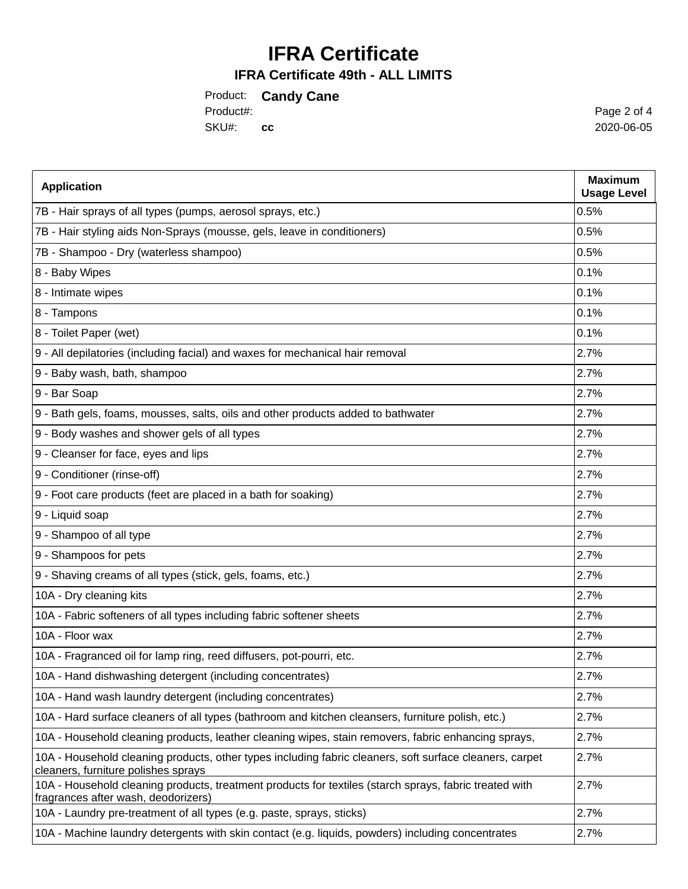## **IFRA Certificate**

### **IFRA Certificate 49th - ALL LIMITS**

Product: **Candy Cane** SKU#: **cc** Product#:

Page 2 of 4 2020-06-05

| <b>Application</b>                                                                                                                             | <b>Maximum</b><br><b>Usage Level</b> |
|------------------------------------------------------------------------------------------------------------------------------------------------|--------------------------------------|
| 7B - Hair sprays of all types (pumps, aerosol sprays, etc.)                                                                                    | 0.5%                                 |
| 7B - Hair styling aids Non-Sprays (mousse, gels, leave in conditioners)                                                                        | 0.5%                                 |
| 7B - Shampoo - Dry (waterless shampoo)                                                                                                         | 0.5%                                 |
| 8 - Baby Wipes                                                                                                                                 | 0.1%                                 |
| 8 - Intimate wipes                                                                                                                             | 0.1%                                 |
| 8 - Tampons                                                                                                                                    | 0.1%                                 |
| 8 - Toilet Paper (wet)                                                                                                                         | 0.1%                                 |
| 9 - All depilatories (including facial) and waxes for mechanical hair removal                                                                  | 2.7%                                 |
| 9 - Baby wash, bath, shampoo                                                                                                                   | 2.7%                                 |
| 9 - Bar Soap                                                                                                                                   | 2.7%                                 |
| 9 - Bath gels, foams, mousses, salts, oils and other products added to bathwater                                                               | 2.7%                                 |
| 9 - Body washes and shower gels of all types                                                                                                   | 2.7%                                 |
| 9 - Cleanser for face, eyes and lips                                                                                                           | 2.7%                                 |
| 9 - Conditioner (rinse-off)                                                                                                                    | 2.7%                                 |
| 9 - Foot care products (feet are placed in a bath for soaking)                                                                                 | 2.7%                                 |
| 9 - Liquid soap                                                                                                                                | 2.7%                                 |
| 9 - Shampoo of all type                                                                                                                        | 2.7%                                 |
| 9 - Shampoos for pets                                                                                                                          | 2.7%                                 |
| 9 - Shaving creams of all types (stick, gels, foams, etc.)                                                                                     | 2.7%                                 |
| 10A - Dry cleaning kits                                                                                                                        | 2.7%                                 |
| 10A - Fabric softeners of all types including fabric softener sheets                                                                           | 2.7%                                 |
| 10A - Floor wax                                                                                                                                | 2.7%                                 |
| 10A - Fragranced oil for lamp ring, reed diffusers, pot-pourri, etc.                                                                           | 2.7%                                 |
| 10A - Hand dishwashing detergent (including concentrates)                                                                                      | 2.7%                                 |
| 10A - Hand wash laundry detergent (including concentrates)                                                                                     | 2.7%                                 |
| 10A - Hard surface cleaners of all types (bathroom and kitchen cleansers, furniture polish, etc.)                                              | 2.7%                                 |
| 10A - Household cleaning products, leather cleaning wipes, stain removers, fabric enhancing sprays,                                            | 2.7%                                 |
| 10A - Household cleaning products, other types including fabric cleaners, soft surface cleaners, carpet<br>cleaners, furniture polishes sprays | 2.7%                                 |
| 10A - Household cleaning products, treatment products for textiles (starch sprays, fabric treated with<br>fragrances after wash, deodorizers)  | 2.7%                                 |
| 10A - Laundry pre-treatment of all types (e.g. paste, sprays, sticks)                                                                          | 2.7%                                 |
| 10A - Machine laundry detergents with skin contact (e.g. liquids, powders) including concentrates                                              | 2.7%                                 |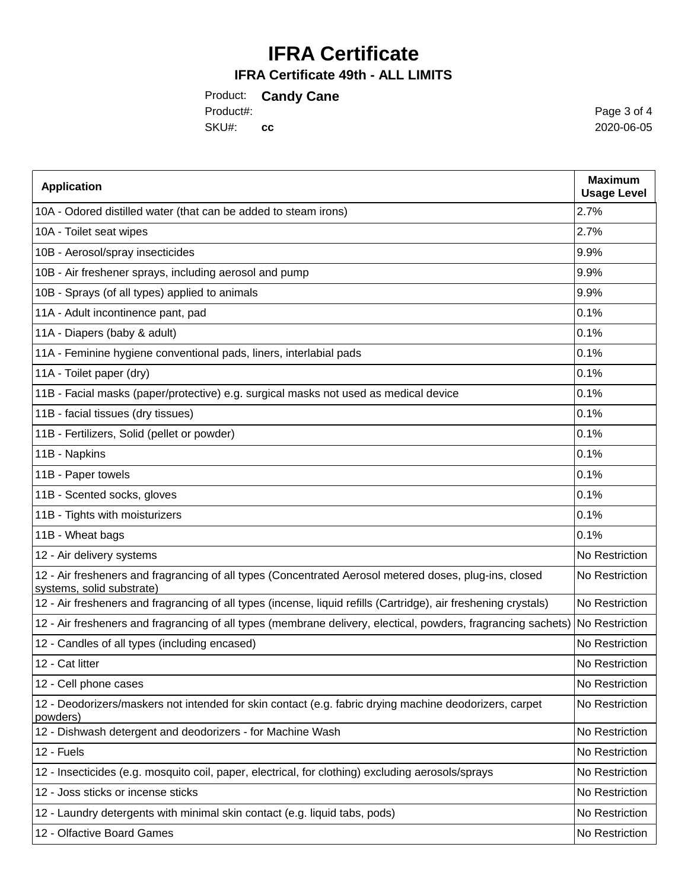# **IFRA Certificate**

### **IFRA Certificate 49th - ALL LIMITS**

Product: **Candy Cane** SKU#: **cc** Product#:

Page 3 of 4 2020-06-05

| <b>Application</b>                                                                                                                  | <b>Maximum</b><br><b>Usage Level</b> |
|-------------------------------------------------------------------------------------------------------------------------------------|--------------------------------------|
| 10A - Odored distilled water (that can be added to steam irons)                                                                     | 2.7%                                 |
| 10A - Toilet seat wipes                                                                                                             | 2.7%                                 |
| 10B - Aerosol/spray insecticides                                                                                                    | 9.9%                                 |
| 10B - Air freshener sprays, including aerosol and pump                                                                              | 9.9%                                 |
| 10B - Sprays (of all types) applied to animals                                                                                      | 9.9%                                 |
| 11A - Adult incontinence pant, pad                                                                                                  | 0.1%                                 |
| 11A - Diapers (baby & adult)                                                                                                        | 0.1%                                 |
| 11A - Feminine hygiene conventional pads, liners, interlabial pads                                                                  | 0.1%                                 |
| 11A - Toilet paper (dry)                                                                                                            | 0.1%                                 |
| 11B - Facial masks (paper/protective) e.g. surgical masks not used as medical device                                                | 0.1%                                 |
| 11B - facial tissues (dry tissues)                                                                                                  | 0.1%                                 |
| 11B - Fertilizers, Solid (pellet or powder)                                                                                         | 0.1%                                 |
| 11B - Napkins                                                                                                                       | 0.1%                                 |
| 11B - Paper towels                                                                                                                  | 0.1%                                 |
| 11B - Scented socks, gloves                                                                                                         | 0.1%                                 |
| 11B - Tights with moisturizers                                                                                                      | 0.1%                                 |
| 11B - Wheat bags                                                                                                                    | 0.1%                                 |
| 12 - Air delivery systems                                                                                                           | No Restriction                       |
| 12 - Air fresheners and fragrancing of all types (Concentrated Aerosol metered doses, plug-ins, closed<br>systems, solid substrate) | No Restriction                       |
| 12 - Air fresheners and fragrancing of all types (incense, liquid refills (Cartridge), air freshening crystals)                     | No Restriction                       |
| 12 - Air fresheners and fragrancing of all types (membrane delivery, electical, powders, fragrancing sachets) No Restriction        |                                      |
| 12 - Candles of all types (including encased)                                                                                       | No Restriction                       |
| 12 - Cat litter                                                                                                                     | No Restriction                       |
| 12 - Cell phone cases                                                                                                               | No Restriction                       |
| 12 - Deodorizers/maskers not intended for skin contact (e.g. fabric drying machine deodorizers, carpet<br>powders)                  | No Restriction                       |
| 12 - Dishwash detergent and deodorizers - for Machine Wash                                                                          | No Restriction                       |
| 12 - Fuels                                                                                                                          | No Restriction                       |
| 12 - Insecticides (e.g. mosquito coil, paper, electrical, for clothing) excluding aerosols/sprays                                   | No Restriction                       |
| 12 - Joss sticks or incense sticks                                                                                                  | No Restriction                       |
| 12 - Laundry detergents with minimal skin contact (e.g. liquid tabs, pods)                                                          | No Restriction                       |
| 12 - Olfactive Board Games                                                                                                          | No Restriction                       |